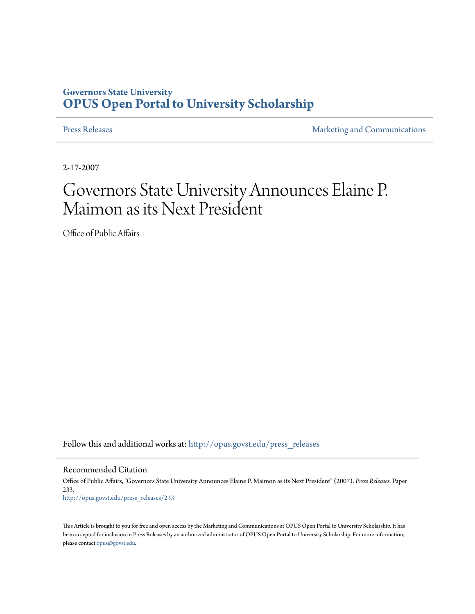## **Governors State University [OPUS Open Portal to University Scholarship](http://opus.govst.edu?utm_source=opus.govst.edu%2Fpress_releases%2F233&utm_medium=PDF&utm_campaign=PDFCoverPages)**

[Press Releases](http://opus.govst.edu/press_releases?utm_source=opus.govst.edu%2Fpress_releases%2F233&utm_medium=PDF&utm_campaign=PDFCoverPages) **[Marketing and Communications](http://opus.govst.edu/marketing_comm?utm_source=opus.govst.edu%2Fpress_releases%2F233&utm_medium=PDF&utm_campaign=PDFCoverPages)** 

2-17-2007

## Governors State University Announces Elaine P. Maimon as its Next President

Office of Public Affairs

Follow this and additional works at: [http://opus.govst.edu/press\\_releases](http://opus.govst.edu/press_releases?utm_source=opus.govst.edu%2Fpress_releases%2F233&utm_medium=PDF&utm_campaign=PDFCoverPages)

Recommended Citation

Office of Public Affairs, "Governors State University Announces Elaine P. Maimon as its Next President" (2007). *Press Releases.* Paper 233. [http://opus.govst.edu/press\\_releases/233](http://opus.govst.edu/press_releases/233?utm_source=opus.govst.edu%2Fpress_releases%2F233&utm_medium=PDF&utm_campaign=PDFCoverPages)

This Article is brought to you for free and open access by the Marketing and Communications at OPUS Open Portal to University Scholarship. It has been accepted for inclusion in Press Releases by an authorized administrator of OPUS Open Portal to University Scholarship. For more information, please contact [opus@govst.edu](mailto:opus@govst.edu).